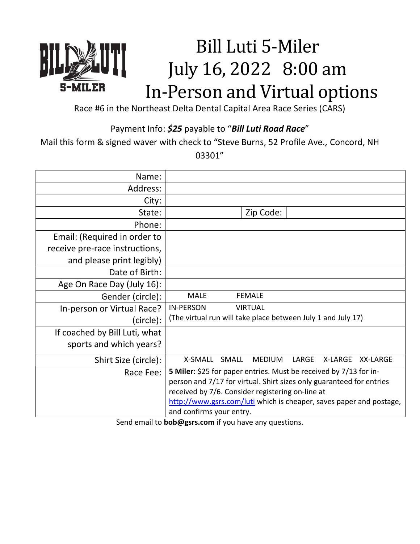## Bill Luti 5-Miler July 16, 2022 8:00 am In-Person and Virtual options

Race #6 in the Northeast Delta Dental Capital Area Race Series (CARS)

-MILER

Payment Info: \$25 payable to "Bill Luti Road Race"

Mail this form & signed waver with check to "Steve Burns, 52 Profile Ave., Concord, NH

03301"

| Name:                          |                                                                      |
|--------------------------------|----------------------------------------------------------------------|
| Address:                       |                                                                      |
| City:                          |                                                                      |
| State:                         | Zip Code:                                                            |
| Phone:                         |                                                                      |
| Email: (Required in order to   |                                                                      |
| receive pre-race instructions, |                                                                      |
| and please print legibly)      |                                                                      |
| Date of Birth:                 |                                                                      |
| Age On Race Day (July 16):     |                                                                      |
| Gender (circle):               | <b>MALE</b><br><b>FEMALE</b>                                         |
| In-person or Virtual Race?     | <b>IN-PERSON</b><br><b>VIRTUAL</b>                                   |
| (circle):                      | (The virtual run will take place between July 1 and July 17)         |
| If coached by Bill Luti, what  |                                                                      |
| sports and which years?        |                                                                      |
| Shirt Size (circle):           | X-SMALL<br>SMALL<br><b>MEDIUM</b><br>LARGE<br>X-LARGE<br>XX-LARGE    |
| Race Fee:                      | 5 Miler: \$25 for paper entries. Must be received by 7/13 for in-    |
|                                | person and 7/17 for virtual. Shirt sizes only guaranteed for entries |
|                                | received by 7/6. Consider registering on-line at                     |
|                                | http://www.gsrs.com/luti which is cheaper, saves paper and postage,  |
|                                | and confirms your entry.                                             |

Send email to **bob@gsrs.com** if you have any questions.